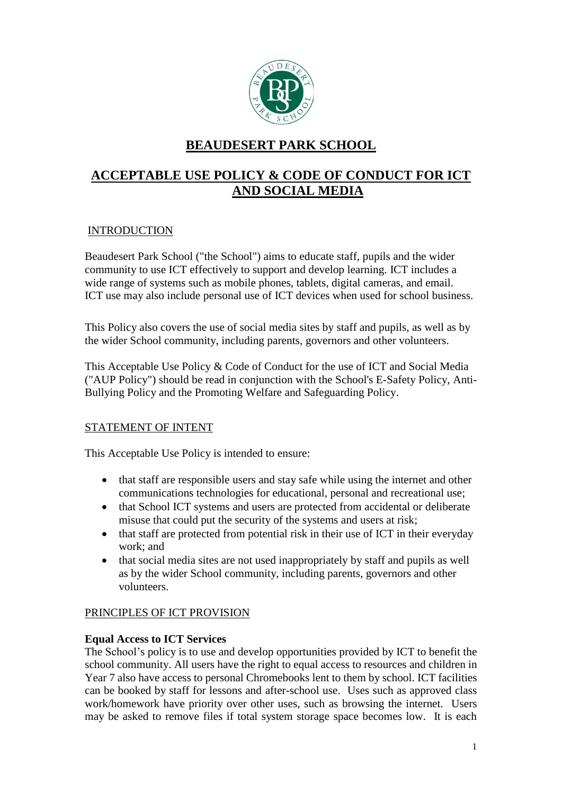

# **BEAUDESERT PARK SCHOOL**

# **ACCEPTABLE USE POLICY & CODE OF CONDUCT FOR ICT AND SOCIAL MEDIA**

# **INTRODUCTION**

Beaudesert Park School ("the School") aims to educate staff, pupils and the wider community to use ICT effectively to support and develop learning. ICT includes a wide range of systems such as mobile phones, tablets, digital cameras, and email. ICT use may also include personal use of ICT devices when used for school business.

This Policy also covers the use of social media sites by staff and pupils, as well as by the wider School community, including parents, governors and other volunteers.

This Acceptable Use Policy & Code of Conduct for the use of ICT and Social Media ("AUP Policy") should be read in conjunction with the School's E-Safety Policy, Anti-Bullying Policy and the Promoting Welfare and Safeguarding Policy.

# STATEMENT OF INTENT

This Acceptable Use Policy is intended to ensure:

- that staff are responsible users and stay safe while using the internet and other communications technologies for educational, personal and recreational use;
- that School ICT systems and users are protected from accidental or deliberate misuse that could put the security of the systems and users at risk;
- that staff are protected from potential risk in their use of ICT in their everyday work; and
- that social media sites are not used inappropriately by staff and pupils as well as by the wider School community, including parents, governors and other volunteers.

# PRINCIPLES OF ICT PROVISION

# **Equal Access to ICT Services**

The School's policy is to use and develop opportunities provided by ICT to benefit the school community. All users have the right to equal access to resources and children in Year 7 also have access to personal Chromebooks lent to them by school. ICT facilities can be booked by staff for lessons and after-school use. Uses such as approved class work/homework have priority over other uses, such as browsing the internet. Users may be asked to remove files if total system storage space becomes low. It is each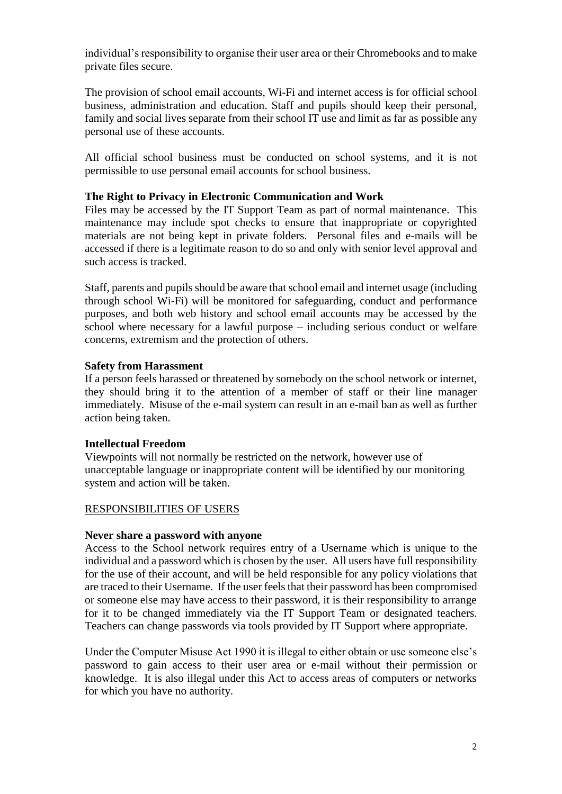individual's responsibility to organise their user area or their Chromebooks and to make private files secure.

The provision of school email accounts, Wi-Fi and internet access is for official school business, administration and education. Staff and pupils should keep their personal, family and social lives separate from their school IT use and limit as far as possible any personal use of these accounts.

All official school business must be conducted on school systems, and it is not permissible to use personal email accounts for school business.

### **The Right to Privacy in Electronic Communication and Work**

Files may be accessed by the IT Support Team as part of normal maintenance. This maintenance may include spot checks to ensure that inappropriate or copyrighted materials are not being kept in private folders. Personal files and e-mails will be accessed if there is a legitimate reason to do so and only with senior level approval and such access is tracked.

Staff, parents and pupils should be aware that school email and internet usage (including through school Wi-Fi) will be monitored for safeguarding, conduct and performance purposes, and both web history and school email accounts may be accessed by the school where necessary for a lawful purpose – including serious conduct or welfare concerns, extremism and the protection of others.

### **Safety from Harassment**

If a person feels harassed or threatened by somebody on the school network or internet, they should bring it to the attention of a member of staff or their line manager immediately. Misuse of the e-mail system can result in an e-mail ban as well as further action being taken.

# **Intellectual Freedom**

Viewpoints will not normally be restricted on the network, however use of unacceptable language or inappropriate content will be identified by our monitoring system and action will be taken.

### RESPONSIBILITIES OF USERS

### **Never share a password with anyone**

Access to the School network requires entry of a Username which is unique to the individual and a password which is chosen by the user. All users have full responsibility for the use of their account, and will be held responsible for any policy violations that are traced to their Username. If the user feels that their password has been compromised or someone else may have access to their password, it is their responsibility to arrange for it to be changed immediately via the IT Support Team or designated teachers. Teachers can change passwords via tools provided by IT Support where appropriate.

Under the Computer Misuse Act 1990 it is illegal to either obtain or use someone else's password to gain access to their user area or e-mail without their permission or knowledge. It is also illegal under this Act to access areas of computers or networks for which you have no authority.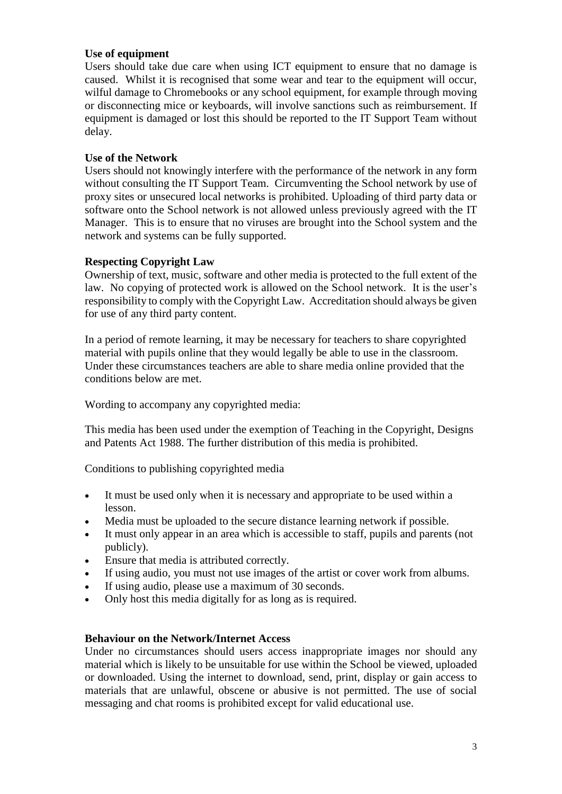### **Use of equipment**

Users should take due care when using ICT equipment to ensure that no damage is caused. Whilst it is recognised that some wear and tear to the equipment will occur, wilful damage to Chromebooks or any school equipment, for example through moving or disconnecting mice or keyboards, will involve sanctions such as reimbursement. If equipment is damaged or lost this should be reported to the IT Support Team without delay.

### **Use of the Network**

Users should not knowingly interfere with the performance of the network in any form without consulting the IT Support Team. Circumventing the School network by use of proxy sites or unsecured local networks is prohibited. Uploading of third party data or software onto the School network is not allowed unless previously agreed with the IT Manager. This is to ensure that no viruses are brought into the School system and the network and systems can be fully supported.

### **Respecting Copyright Law**

Ownership of text, music, software and other media is protected to the full extent of the law. No copying of protected work is allowed on the School network. It is the user's responsibility to comply with the Copyright Law. Accreditation should always be given for use of any third party content.

In a period of remote learning, it may be necessary for teachers to share copyrighted material with pupils online that they would legally be able to use in the classroom. Under these circumstances teachers are able to share media online provided that the conditions below are met.

Wording to accompany any copyrighted media:

This media has been used under the exemption of Teaching in the Copyright, Designs and Patents Act 1988. The further distribution of this media is prohibited.

Conditions to publishing copyrighted media

- It must be used only when it is necessary and appropriate to be used within a lesson.
- Media must be uploaded to the secure distance learning network if possible.
- It must only appear in an area which is accessible to staff, pupils and parents (not publicly).
- Ensure that media is attributed correctly.
- If using audio, you must not use images of the artist or cover work from albums.
- If using audio, please use a maximum of 30 seconds.
- Only host this media digitally for as long as is required.

### **Behaviour on the Network/Internet Access**

Under no circumstances should users access inappropriate images nor should any material which is likely to be unsuitable for use within the School be viewed, uploaded or downloaded. Using the internet to download, send, print, display or gain access to materials that are unlawful, obscene or abusive is not permitted. The use of social messaging and chat rooms is prohibited except for valid educational use.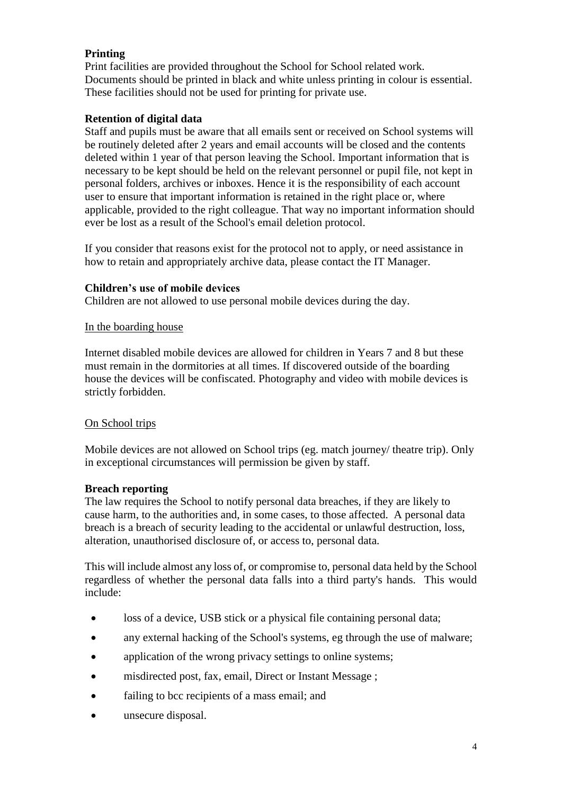# **Printing**

Print facilities are provided throughout the School for School related work. Documents should be printed in black and white unless printing in colour is essential. These facilities should not be used for printing for private use.

# **Retention of digital data**

Staff and pupils must be aware that all emails sent or received on School systems will be routinely deleted after 2 years and email accounts will be closed and the contents deleted within 1 year of that person leaving the School. Important information that is necessary to be kept should be held on the relevant personnel or pupil file, not kept in personal folders, archives or inboxes. Hence it is the responsibility of each account user to ensure that important information is retained in the right place or, where applicable, provided to the right colleague. That way no important information should ever be lost as a result of the School's email deletion protocol.

If you consider that reasons exist for the protocol not to apply, or need assistance in how to retain and appropriately archive data, please contact the IT Manager.

### **Children's use of mobile devices**

Children are not allowed to use personal mobile devices during the day.

### In the boarding house

Internet disabled mobile devices are allowed for children in Years 7 and 8 but these must remain in the dormitories at all times. If discovered outside of the boarding house the devices will be confiscated. Photography and video with mobile devices is strictly forbidden.

# On School trips

Mobile devices are not allowed on School trips (eg. match journey/ theatre trip). Only in exceptional circumstances will permission be given by staff.

### **Breach reporting**

The law requires the School to notify personal data breaches, if they are likely to cause harm, to the authorities and, in some cases, to those affected. A personal data breach is a breach of security leading to the accidental or unlawful destruction, loss, alteration, unauthorised disclosure of, or access to, personal data.

This will include almost any loss of, or compromise to, personal data held by the School regardless of whether the personal data falls into a third party's hands. This would include:

- loss of a device, USB stick or a physical file containing personal data;
- any external hacking of the School's systems, eg through the use of malware;
- application of the wrong privacy settings to online systems:
- misdirected post, fax, email, Direct or Instant Message ;
- failing to bcc recipients of a mass email; and
- unsecure disposal.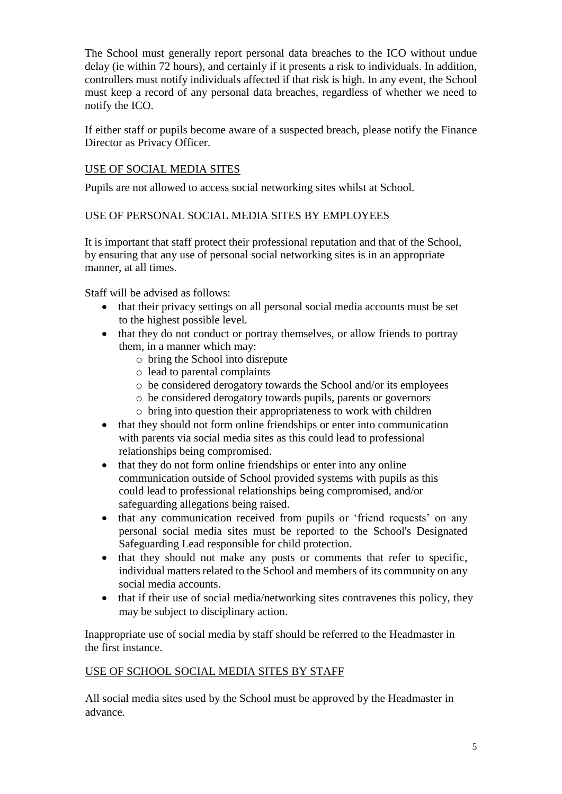The School must generally report personal data breaches to the ICO without undue delay (ie within 72 hours), and certainly if it presents a risk to individuals. In addition, controllers must notify individuals affected if that risk is high. In any event, the School must keep a record of any personal data breaches, regardless of whether we need to notify the ICO.

If either staff or pupils become aware of a suspected breach, please notify the Finance Director as Privacy Officer.

# USE OF SOCIAL MEDIA SITES

Pupils are not allowed to access social networking sites whilst at School.

### USE OF PERSONAL SOCIAL MEDIA SITES BY EMPLOYEES

It is important that staff protect their professional reputation and that of the School, by ensuring that any use of personal social networking sites is in an appropriate manner, at all times.

Staff will be advised as follows:

- that their privacy settings on all personal social media accounts must be set to the highest possible level.
- that they do not conduct or portray themselves, or allow friends to portray them, in a manner which may:
	- o bring the School into disrepute
	- o lead to parental complaints
	- o be considered derogatory towards the School and/or its employees
	- o be considered derogatory towards pupils, parents or governors
	- o bring into question their appropriateness to work with children
- that they should not form online friendships or enter into communication with parents via social media sites as this could lead to professional relationships being compromised.
- that they do not form online friendships or enter into any online communication outside of School provided systems with pupils as this could lead to professional relationships being compromised, and/or safeguarding allegations being raised.
- that any communication received from pupils or 'friend requests' on any personal social media sites must be reported to the School's Designated Safeguarding Lead responsible for child protection.
- that they should not make any posts or comments that refer to specific. individual matters related to the School and members of its community on any social media accounts.
- that if their use of social media/networking sites contravenes this policy, they may be subject to disciplinary action.

Inappropriate use of social media by staff should be referred to the Headmaster in the first instance.

# USE OF SCHOOL SOCIAL MEDIA SITES BY STAFF

All social media sites used by the School must be approved by the Headmaster in advance.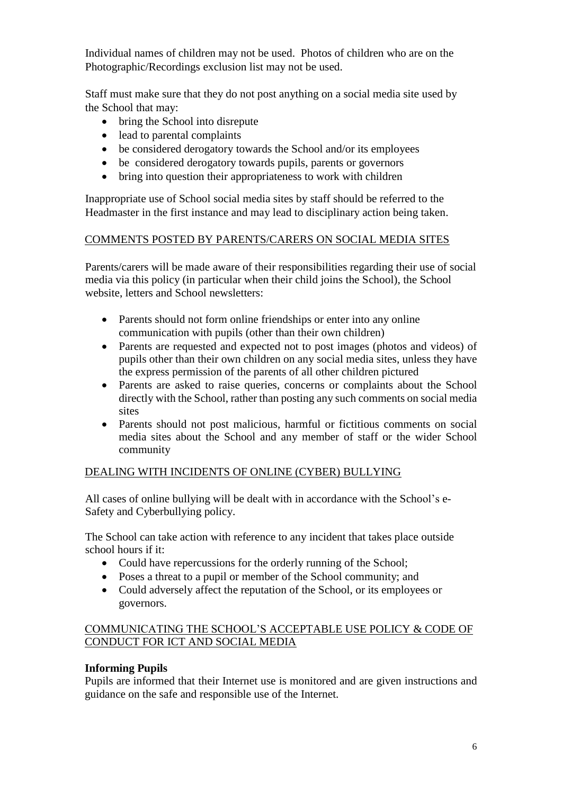Individual names of children may not be used. Photos of children who are on the Photographic/Recordings exclusion list may not be used.

Staff must make sure that they do not post anything on a social media site used by the School that may:

- bring the School into disrepute
- lead to parental complaints
- be considered derogatory towards the School and/or its employees
- be considered derogatory towards pupils, parents or governors
- bring into question their appropriateness to work with children

Inappropriate use of School social media sites by staff should be referred to the Headmaster in the first instance and may lead to disciplinary action being taken.

### COMMENTS POSTED BY PARENTS/CARERS ON SOCIAL MEDIA SITES

Parents/carers will be made aware of their responsibilities regarding their use of social media via this policy (in particular when their child joins the School), the School website, letters and School newsletters:

- Parents should not form online friendships or enter into any online communication with pupils (other than their own children)
- Parents are requested and expected not to post images (photos and videos) of pupils other than their own children on any social media sites, unless they have the express permission of the parents of all other children pictured
- Parents are asked to raise queries, concerns or complaints about the School directly with the School, rather than posting any such comments on social media sites
- Parents should not post malicious, harmful or fictitious comments on social media sites about the School and any member of staff or the wider School community

# DEALING WITH INCIDENTS OF ONLINE (CYBER) BULLYING

All cases of online bullying will be dealt with in accordance with the School's e-Safety and Cyberbullying policy.

The School can take action with reference to any incident that takes place outside school hours if it:

- Could have repercussions for the orderly running of the School;
- Poses a threat to a pupil or member of the School community; and
- Could adversely affect the reputation of the School, or its employees or governors.

# COMMUNICATING THE SCHOOL'S ACCEPTABLE USE POLICY & CODE OF CONDUCT FOR ICT AND SOCIAL MEDIA

# **Informing Pupils**

Pupils are informed that their Internet use is monitored and are given instructions and guidance on the safe and responsible use of the Internet.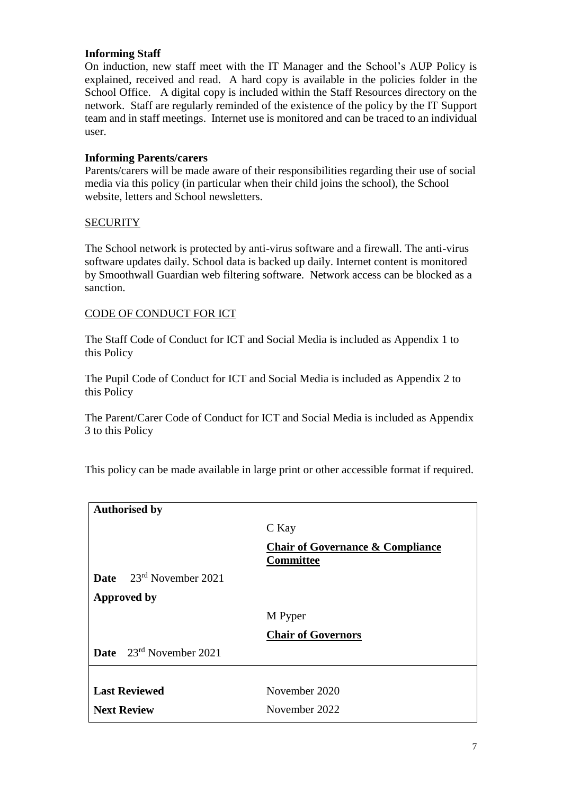### **Informing Staff**

On induction, new staff meet with the IT Manager and the School's AUP Policy is explained, received and read. A hard copy is available in the policies folder in the School Office. A digital copy is included within the Staff Resources directory on the network. Staff are regularly reminded of the existence of the policy by the IT Support team and in staff meetings. Internet use is monitored and can be traced to an individual user.

### **Informing Parents/carers**

Parents/carers will be made aware of their responsibilities regarding their use of social media via this policy (in particular when their child joins the school), the School website, letters and School newsletters.

### **SECURITY**

The School network is protected by anti-virus software and a firewall. The anti-virus software updates daily. School data is backed up daily. Internet content is monitored by Smoothwall Guardian web filtering software. Network access can be blocked as a sanction.

### CODE OF CONDUCT FOR ICT

The Staff Code of Conduct for ICT and Social Media is included as Appendix 1 to this Policy

The Pupil Code of Conduct for ICT and Social Media is included as Appendix 2 to this Policy

The Parent/Carer Code of Conduct for ICT and Social Media is included as Appendix 3 to this Policy

This policy can be made available in large print or other accessible format if required.

| <b>Authorised by</b>                |                                                                 |
|-------------------------------------|-----------------------------------------------------------------|
|                                     | C Kay                                                           |
|                                     | <b>Chair of Governance &amp; Compliance</b><br><b>Committee</b> |
| Date 23rd November 2021             |                                                                 |
| <b>Approved by</b>                  |                                                                 |
|                                     | M Pyper                                                         |
|                                     | <b>Chair of Governors</b>                                       |
| <b>Date</b> $23^{rd}$ November 2021 |                                                                 |
|                                     |                                                                 |
| <b>Last Reviewed</b>                | November 2020                                                   |
| <b>Next Review</b>                  | November 2022                                                   |
|                                     |                                                                 |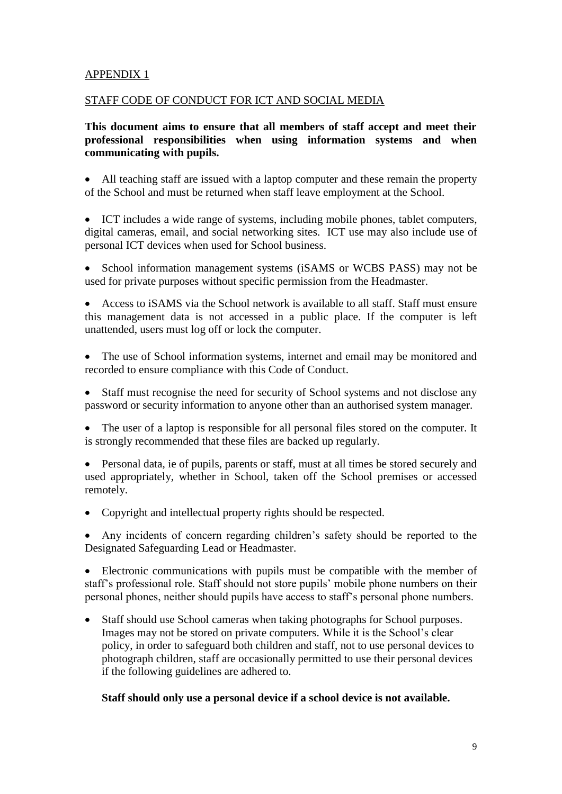# APPENDIX 1

### STAFF CODE OF CONDUCT FOR ICT AND SOCIAL MEDIA

### **This document aims to ensure that all members of staff accept and meet their professional responsibilities when using information systems and when communicating with pupils.**

 All teaching staff are issued with a laptop computer and these remain the property of the School and must be returned when staff leave employment at the School.

 ICT includes a wide range of systems, including mobile phones, tablet computers, digital cameras, email, and social networking sites. ICT use may also include use of personal ICT devices when used for School business.

 School information management systems (iSAMS or WCBS PASS) may not be used for private purposes without specific permission from the Headmaster.

 Access to iSAMS via the School network is available to all staff. Staff must ensure this management data is not accessed in a public place. If the computer is left unattended, users must log off or lock the computer.

 The use of School information systems, internet and email may be monitored and recorded to ensure compliance with this Code of Conduct.

• Staff must recognise the need for security of School systems and not disclose any password or security information to anyone other than an authorised system manager.

• The user of a laptop is responsible for all personal files stored on the computer. It is strongly recommended that these files are backed up regularly.

 Personal data, ie of pupils, parents or staff, must at all times be stored securely and used appropriately, whether in School, taken off the School premises or accessed remotely.

• Copyright and intellectual property rights should be respected.

 Any incidents of concern regarding children's safety should be reported to the Designated Safeguarding Lead or Headmaster.

 Electronic communications with pupils must be compatible with the member of staff's professional role. Staff should not store pupils' mobile phone numbers on their personal phones, neither should pupils have access to staff's personal phone numbers.

 Staff should use School cameras when taking photographs for School purposes. Images may not be stored on private computers. While it is the School's clear policy, in order to safeguard both children and staff, not to use personal devices to photograph children, staff are occasionally permitted to use their personal devices if the following guidelines are adhered to.

### **Staff should only use a personal device if a school device is not available.**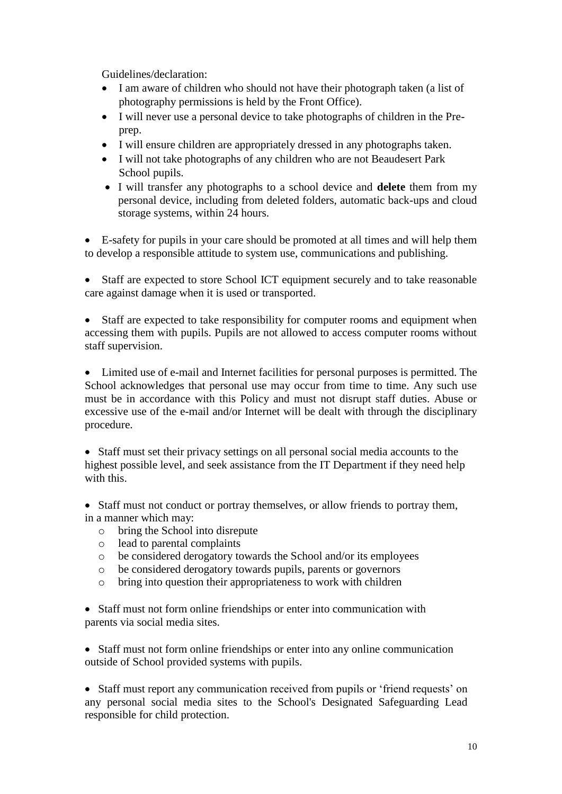Guidelines/declaration:

- I am aware of children who should not have their photograph taken (a list of photography permissions is held by the Front Office).
- I will never use a personal device to take photographs of children in the Preprep.
- I will ensure children are appropriately dressed in any photographs taken.
- I will not take photographs of any children who are not Beaudesert Park School pupils.
- I will transfer any photographs to a school device and **delete** them from my personal device, including from deleted folders, automatic back-ups and cloud storage systems, within 24 hours.

 E-safety for pupils in your care should be promoted at all times and will help them to develop a responsible attitude to system use, communications and publishing.

 Staff are expected to store School ICT equipment securely and to take reasonable care against damage when it is used or transported.

 Staff are expected to take responsibility for computer rooms and equipment when accessing them with pupils. Pupils are not allowed to access computer rooms without staff supervision.

 Limited use of e-mail and Internet facilities for personal purposes is permitted. The School acknowledges that personal use may occur from time to time. Any such use must be in accordance with this Policy and must not disrupt staff duties. Abuse or excessive use of the e-mail and/or Internet will be dealt with through the disciplinary procedure.

 Staff must set their privacy settings on all personal social media accounts to the highest possible level, and seek assistance from the IT Department if they need help with this.

• Staff must not conduct or portray themselves, or allow friends to portray them, in a manner which may:

- o bring the School into disrepute
- o lead to parental complaints
- o be considered derogatory towards the School and/or its employees
- o be considered derogatory towards pupils, parents or governors
- o bring into question their appropriateness to work with children

 Staff must not form online friendships or enter into communication with parents via social media sites.

 Staff must not form online friendships or enter into any online communication outside of School provided systems with pupils.

 Staff must report any communication received from pupils or 'friend requests' on any personal social media sites to the School's Designated Safeguarding Lead responsible for child protection.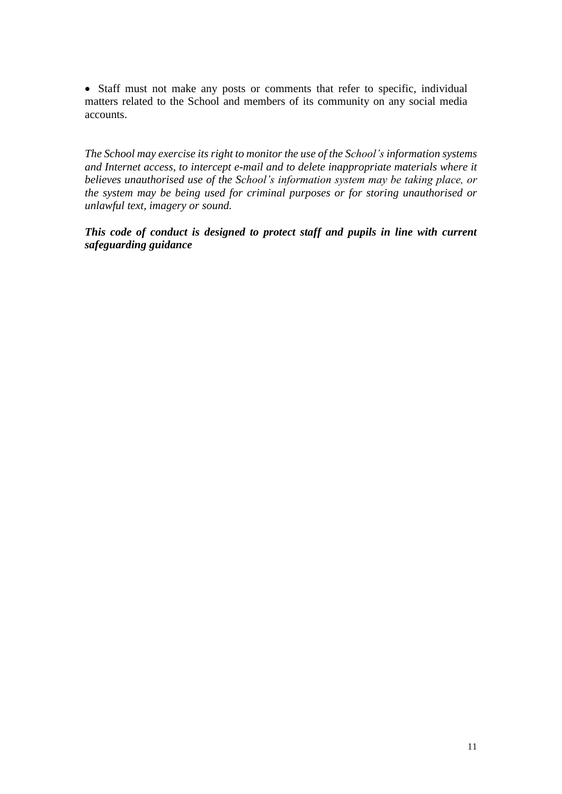• Staff must not make any posts or comments that refer to specific, individual matters related to the School and members of its community on any social media accounts.

*The School may exercise its right to monitor the use of the School's information systems and Internet access, to intercept e-mail and to delete inappropriate materials where it believes unauthorised use of the School's information system may be taking place, or the system may be being used for criminal purposes or for storing unauthorised or unlawful text, imagery or sound.* 

*This code of conduct is designed to protect staff and pupils in line with current safeguarding guidance*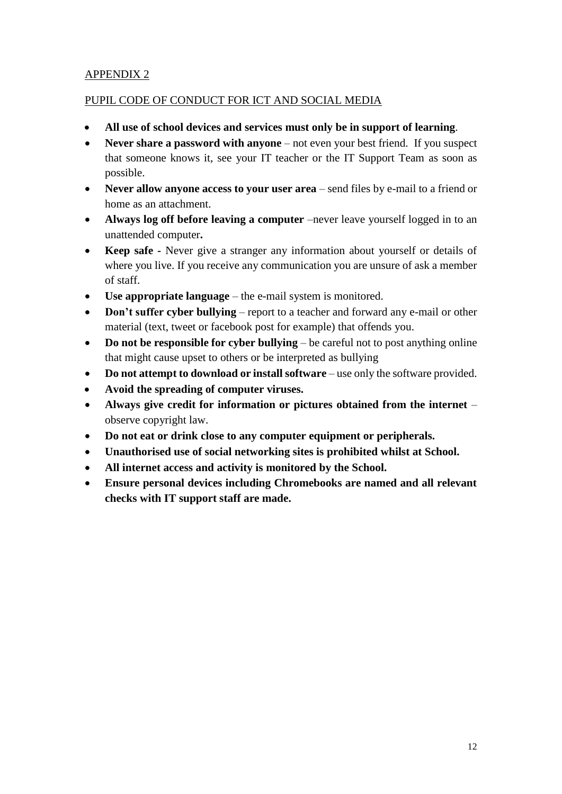# APPENDIX 2

# PUPIL CODE OF CONDUCT FOR ICT AND SOCIAL MEDIA

- **All use of school devices and services must only be in support of learning**.
- **Never share a password with anyone** not even your best friend. If you suspect that someone knows it, see your IT teacher or the IT Support Team as soon as possible.
- **Never allow anyone access to your user area** send files by e-mail to a friend or home as an attachment.
- **Always log off before leaving a computer** –never leave yourself logged in to an unattended computer**.**
- **Keep safe -** Never give a stranger any information about yourself or details of where you live. If you receive any communication you are unsure of ask a member of staff.
- **Use appropriate language** the e-mail system is monitored.
- **Don't suffer cyber bullying** report to a teacher and forward any e-mail or other material (text, tweet or facebook post for example) that offends you.
- **•** Do not be responsible for cyber bullying be careful not to post anything online that might cause upset to others or be interpreted as bullying
- **Do not attempt to download or install software** use only the software provided.
- **Avoid the spreading of computer viruses.**
- **Always give credit for information or pictures obtained from the internet**  observe copyright law.
- **Do not eat or drink close to any computer equipment or peripherals.**
- **Unauthorised use of social networking sites is prohibited whilst at School.**
- **All internet access and activity is monitored by the School.**
- **Ensure personal devices including Chromebooks are named and all relevant checks with IT support staff are made.**